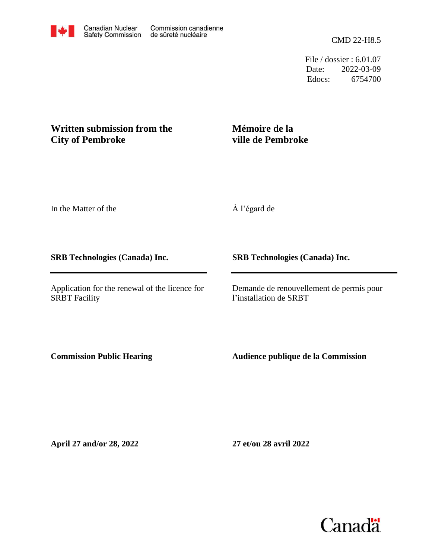File / dossier : 6.01.07 Date: 2022-03-09 Edocs: 6754700

## **Written submission from the City of Pembroke**

# **Mémoire de la ville de Pembroke**

In the Matter of the

À l'égard de

### **SRB Technologies (Canada) Inc.**

Application for the renewal of the licence for SRBT Facility

**SRB Technologies (Canada) Inc.**

Demande de renouvellement de permis pour l'installation de SRBT

**Commission Public Hearing**

**Audience publique de la Commission**

**April 27 and/or 28, 2022**

**27 et/ou 28 avril 2022**

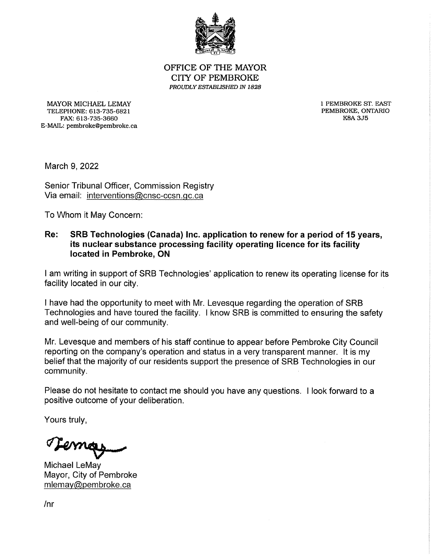

OFFICE OF THE MAYOR **CITY OF PEMBROKE** PROUDLY ESTABLISHED IN 1828

MAYOR MICHAEL LEMAY TELEPHONE: 613-735-6821 FAX: 613-735-3660 E-MAIL: pembroke@pembroke.ca 1 PEMBROKE ST, EAST PEMBROKE, ONTARIO **K8A 3J5** 

March 9, 2022

Senior Tribunal Officer, Commission Registry Via email: interventions@cnsc-ccsn.gc.ca

To Whom it May Concern:

#### SRB Technologies (Canada) Inc. application to renew for a period of 15 years, Re: its nuclear substance processing facility operating licence for its facility located in Pembroke, ON

I am writing in support of SRB Technologies' application to renew its operating license for its facility located in our city.

I have had the opportunity to meet with Mr. Levesque regarding the operation of SRB Technologies and have toured the facility. I know SRB is committed to ensuring the safety and well-being of our community.

Mr. Levesque and members of his staff continue to appear before Pembroke City Council reporting on the company's operation and status in a very transparent manner. It is my belief that the majority of our residents support the presence of SRB Technologies in our community.

Please do not hesitate to contact me should you have any questions. I look forward to a positive outcome of your deliberation.

Yours truly,

Temay

Michael LeMay Mayor, City of Pembroke mlemay@pembroke.ca

 $/nr$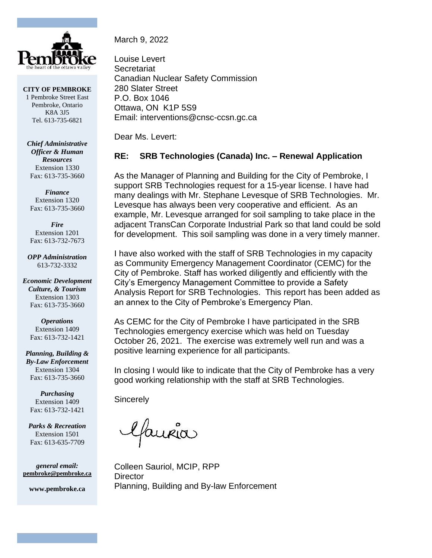

**CITY OF PEMBROKE** 1 Pembroke Street East Pembroke, Ontario K8A 3J5 Tel. 613-735-6821

*Chief Administrative Officer & Human Resources* Extension 1330 Fax: 613-735-3660

*Finance* Extension 1320 Fax: 613-735-3660

*Fire* Extension 1201 Fax: 613-732-7673

*OPP Administration* 613-732-3332

*Economic Development Culture, & Tourism* Extension 1303 Fax: 613-735-3660

> *Operations* Extension 1409 Fax: 613-732-1421

*Planning, Building & By-Law Enforcement* Extension 1304 Fax: 613-735-3660

*Purchasing* Extension 1409 Fax: 613-732-1421

*Parks & Recreation* Extension 1501 Fax: 613-635-7709

*general email:* **pembroke@pembroke.ca**

**www.pembroke.ca**

March 9, 2022

Louise Levert **Secretariat** Canadian Nuclear Safety Commission 280 Slater Street P.O. Box 1046 Ottawa, ON K1P 5S9 Email: interventions@cnsc-ccsn.gc.ca

Dear Ms. Levert:

## **RE: SRB Technologies (Canada) Inc. – Renewal Application**

As the Manager of Planning and Building for the City of Pembroke, I support SRB Technologies request for a 15-year license. I have had many dealings with Mr. Stephane Levesque of SRB Technologies. Mr. Levesque has always been very cooperative and efficient. As an example, Mr. Levesque arranged for soil sampling to take place in the adjacent TransCan Corporate Industrial Park so that land could be sold for development. This soil sampling was done in a very timely manner.

I have also worked with the staff of SRB Technologies in my capacity as Community Emergency Management Coordinator (CEMC) for the City of Pembroke. Staff has worked diligently and efficiently with the City's Emergency Management Committee to provide a Safety Analysis Report for SRB Technologies. This report has been added as an annex to the City of Pembroke's Emergency Plan.

As CEMC for the City of Pembroke I have participated in the SRB Technologies emergency exercise which was held on Tuesday October 26, 2021. The exercise was extremely well run and was a positive learning experience for all participants.

In closing I would like to indicate that the City of Pembroke has a very good working relationship with the staff at SRB Technologies.

**Sincerely** 

Colleen Sauriol, MCIP, RPP **Director** Planning, Building and By-law Enforcement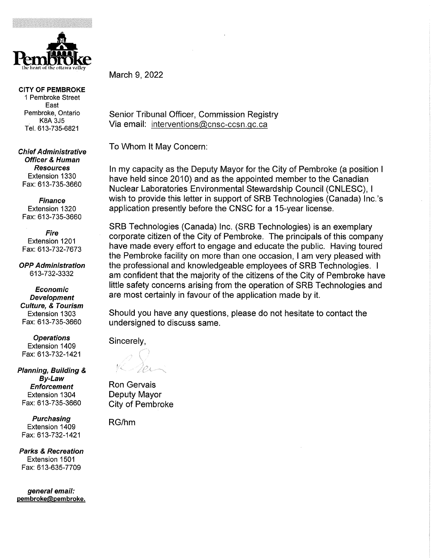

**CITY OF PEMBROKE** 1 Pembroke Street East Pembroke, Ontario **K8A 3J5** Tel. 613-735-6821

**Chief Administrative Officer & Human Resources** Extension 1330 Fax: 613-735-3660

**Finance** Extension 1320 Fax: 613-735-3660

Fire Extension 1201 Fax: 613-732-7673

**OPP Administration** 613-732-3332

**Economic Development Culture, & Tourism** Extension 1303 Fax: 613-735-3660

**Operations** Extension 1409 Fax: 613-732-1421

Planning, Building & By-Law **Enforcement** Extension 1304 Fax: 613-735-3660

**Purchasing** Extension 1409 Fax: 613-732-1421

**Parks & Recreation** Extension 1501 Fax: 613-635-7709

general email: pembroke@pembroke. March 9, 2022

Senior Tribunal Officer, Commission Registry Via email: interventions@cnsc-ccsn.gc.ca

To Whom It May Concern:

In my capacity as the Deputy Mayor for the City of Pembroke (a position I have held since 2010) and as the appointed member to the Canadian Nuclear Laboratories Environmental Stewardship Council (CNLESC), I wish to provide this letter in support of SRB Technologies (Canada) Inc.'s application presently before the CNSC for a 15-year license.

SRB Technologies (Canada) Inc. (SRB Technologies) is an exemplary corporate citizen of the City of Pembroke. The principals of this company have made every effort to engage and educate the public. Having toured the Pembroke facility on more than one occasion, I am very pleased with the professional and knowledgeable employees of SRB Technologies. I am confident that the majority of the citizens of the City of Pembroke have little safety concerns arising from the operation of SRB Technologies and are most certainly in favour of the application made by it.

Should you have any questions, please do not hesitate to contact the undersigned to discuss same.

Sincerely,

**Ron Gervais** Deputy Mayor **City of Pembroke** 

RG/hm